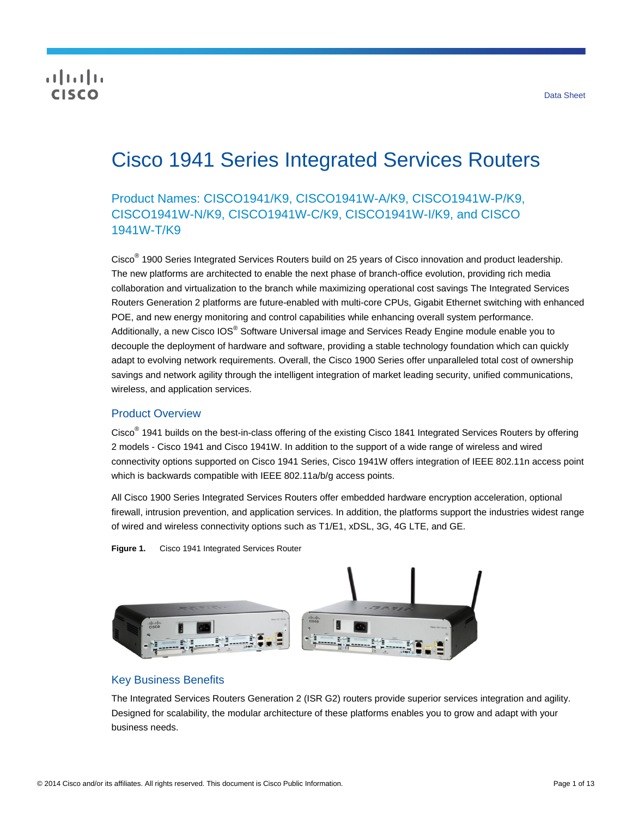## **CISCO**

# Cisco 1941 Series Integrated Services Routers

Product Names: CISCO1941/K9, CISCO1941W-A/K9, CISCO1941W-P/K9, CISCO1941W-N/K9, CISCO1941W-C/K9, CISCO1941W-I/K9, and CISCO 1941W-T/K9

Cisco<sup>®</sup> 1900 Series Integrated Services Routers build on 25 years of Cisco innovation and product leadership. The new platforms are architected to enable the next phase of branch-office evolution, providing rich media collaboration and virtualization to the branch while maximizing operational cost savings The Integrated Services Routers Generation 2 platforms are future-enabled with multi-core CPUs, Gigabit Ethernet switching with enhanced POE, and new energy monitoring and control capabilities while enhancing overall system performance. Additionally, a new Cisco IOS<sup>®</sup> Software Universal image and Services Ready Engine module enable you to decouple the deployment of hardware and software, providing a stable technology foundation which can quickly adapt to evolving network requirements. Overall, the Cisco 1900 Series offer unparalleled total cost of ownership savings and network agility through the intelligent integration of market leading security, unified communications, wireless, and application services.

## Product Overview

Cisco<sup>®</sup> 1941 builds on the best-in-class offering of the existing Cisco 1841 Integrated Services Routers by offering 2 models - Cisco 1941 and Cisco 1941W. In addition to the support of a wide range of wireless and wired connectivity options supported on Cisco 1941 Series, Cisco 1941W offers integration of IEEE 802.11n access point which is backwards compatible with IEEE 802.11a/b/g access points.

All Cisco 1900 Series Integrated Services Routers offer embedded hardware encryption acceleration, optional firewall, intrusion prevention, and application services. In addition, the platforms support the industries widest range of wired and wireless connectivity options such as T1/E1, xDSL, 3G, 4G LTE, and GE.

**Figure 1.** Cisco 1941 Integrated Services Router



## Key Business Benefits

The Integrated Services Routers Generation 2 (ISR G2) routers provide superior services integration and agility. Designed for scalability, the modular architecture of these platforms enables you to grow and adapt with your business needs.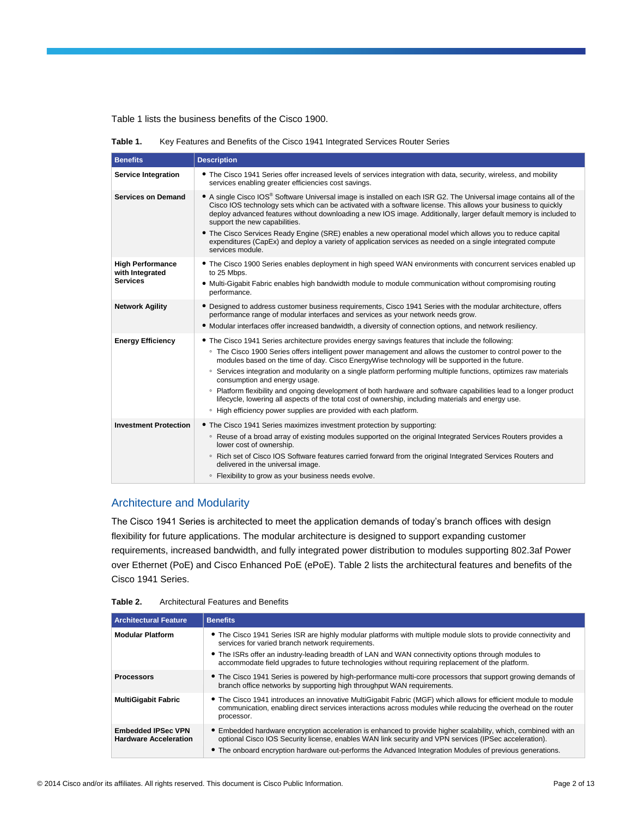Table 1 lists the business benefits of the Cisco 1900.

**Table 1.** Key Features and Benefits of the Cisco 1941 Integrated Services Router Series

| <b>Benefits</b>                                               | <b>Description</b>                                                                                                                                                                                                                                                                                                                                                                                                                                                                                                                                                                                                                                                                                                                                                         |
|---------------------------------------------------------------|----------------------------------------------------------------------------------------------------------------------------------------------------------------------------------------------------------------------------------------------------------------------------------------------------------------------------------------------------------------------------------------------------------------------------------------------------------------------------------------------------------------------------------------------------------------------------------------------------------------------------------------------------------------------------------------------------------------------------------------------------------------------------|
| <b>Service Integration</b>                                    | • The Cisco 1941 Series offer increased levels of services integration with data, security, wireless, and mobility<br>services enabling greater efficiencies cost savings.                                                                                                                                                                                                                                                                                                                                                                                                                                                                                                                                                                                                 |
| <b>Services on Demand</b>                                     | • A single Cisco IOS® Software Universal image is installed on each ISR G2. The Universal image contains all of the<br>Cisco IOS technology sets which can be activated with a software license. This allows your business to quickly<br>deploy advanced features without downloading a new IOS image. Additionally, larger default memory is included to<br>support the new capabilities.<br>• The Cisco Services Ready Engine (SRE) enables a new operational model which allows you to reduce capital<br>expenditures (CapEx) and deploy a variety of application services as needed on a single integrated compute<br>services module.                                                                                                                                 |
| <b>High Performance</b><br>with Integrated<br><b>Services</b> | • The Cisco 1900 Series enables deployment in high speed WAN environments with concurrent services enabled up<br>to 25 Mbps.<br>• Multi-Gigabit Fabric enables high bandwidth module to module communication without compromising routing<br>performance.                                                                                                                                                                                                                                                                                                                                                                                                                                                                                                                  |
| <b>Network Agility</b>                                        | • Designed to address customer business requirements, Cisco 1941 Series with the modular architecture, offers<br>performance range of modular interfaces and services as your network needs grow.<br>• Modular interfaces offer increased bandwidth, a diversity of connection options, and network resiliency.                                                                                                                                                                                                                                                                                                                                                                                                                                                            |
| <b>Energy Efficiency</b>                                      | • The Cisco 1941 Series architecture provides energy savings features that include the following:<br>• The Cisco 1900 Series offers intelligent power management and allows the customer to control power to the<br>modules based on the time of day. Cisco EnergyWise technology will be supported in the future.<br>○ Services integration and modularity on a single platform performing multiple functions, optimizes raw materials<br>consumption and energy usage.<br>○ Platform flexibility and ongoing development of both hardware and software capabilities lead to a longer product<br>lifecycle, lowering all aspects of the total cost of ownership, including materials and energy use.<br>• High efficiency power supplies are provided with each platform. |
| <b>Investment Protection</b>                                  | • The Cisco 1941 Series maximizes investment protection by supporting:<br>○ Reuse of a broad array of existing modules supported on the original Integrated Services Routers provides a<br>lower cost of ownership.<br>○ Rich set of Cisco IOS Software features carried forward from the original Integrated Services Routers and<br>delivered in the universal image.<br>• Flexibility to grow as your business needs evolve.                                                                                                                                                                                                                                                                                                                                            |

## Architecture and Modularity

The Cisco 1941 Series is architected to meet the application demands of today's branch offices with design flexibility for future applications. The modular architecture is designed to support expanding customer requirements, increased bandwidth, and fully integrated power distribution to modules supporting 802.3af Power over Ethernet (PoE) and Cisco Enhanced PoE (ePoE). Table 2 lists the architectural features and benefits of the Cisco 1941 Series.

| Table 2. | <b>Architectural Features and Benefits</b> |  |  |
|----------|--------------------------------------------|--|--|
|----------|--------------------------------------------|--|--|

| <b>Architectural Feature</b>                              | <b>Benefits</b>                                                                                                                                                                                                                                                                                                                                                                |
|-----------------------------------------------------------|--------------------------------------------------------------------------------------------------------------------------------------------------------------------------------------------------------------------------------------------------------------------------------------------------------------------------------------------------------------------------------|
| <b>Modular Platform</b>                                   | • The Cisco 1941 Series ISR are highly modular platforms with multiple module slots to provide connectivity and<br>services for varied branch network requirements.<br>• The ISRs offer an industry-leading breadth of LAN and WAN connectivity options through modules to<br>accommodate field upgrades to future technologies without requiring replacement of the platform. |
| <b>Processors</b>                                         | • The Cisco 1941 Series is powered by high-performance multi-core processors that support growing demands of<br>branch office networks by supporting high throughput WAN requirements.                                                                                                                                                                                         |
| <b>MultiGigabit Fabric</b>                                | • The Cisco 1941 introduces an innovative MultiGigabit Fabric (MGF) which allows for efficient module to module<br>communication, enabling direct services interactions across modules while reducing the overhead on the router<br>processor.                                                                                                                                 |
| <b>Embedded IPSec VPN</b><br><b>Hardware Acceleration</b> | • Embedded hardware encryption acceleration is enhanced to provide higher scalability, which, combined with an<br>optional Cisco IOS Security license, enables WAN link security and VPN services (IPSec acceleration).<br>• The onboard encryption hardware out-performs the Advanced Integration Modules of previous generations.                                            |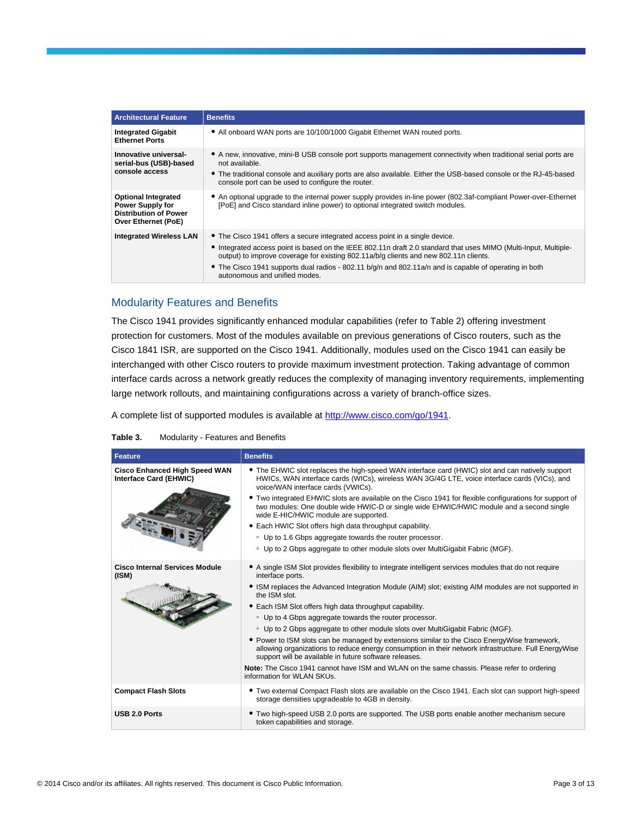| <b>Architectural Feature</b>                                                                          | <b>Benefits</b>                                                                                                                                                                                                                                                                                                                                                                                                                      |
|-------------------------------------------------------------------------------------------------------|--------------------------------------------------------------------------------------------------------------------------------------------------------------------------------------------------------------------------------------------------------------------------------------------------------------------------------------------------------------------------------------------------------------------------------------|
| <b>Integrated Gigabit</b><br><b>Ethernet Ports</b>                                                    | • All onboard WAN ports are 10/100/1000 Gigabit Ethernet WAN routed ports.                                                                                                                                                                                                                                                                                                                                                           |
| Innovative universal-<br>serial-bus (USB)-based<br>console access                                     | • A new, innovative, mini-B USB console port supports management connectivity when traditional serial ports are<br>not available.<br>• The traditional console and auxiliary ports are also available. Either the USB-based console or the RJ-45-based<br>console port can be used to configure the router.                                                                                                                          |
| <b>Optional Integrated</b><br>Power Supply for<br><b>Distribution of Power</b><br>Over Ethernet (PoE) | • An optional upgrade to the internal power supply provides in-line power (802.3af-compliant Power-over-Ethernet<br>[PoE] and Cisco standard inline power) to optional integrated switch modules.                                                                                                                                                                                                                                    |
| <b>Integrated Wireless LAN</b>                                                                        | • The Cisco 1941 offers a secure integrated access point in a single device.<br>• Integrated access point is based on the IEEE 802.11n draft 2.0 standard that uses MIMO (Multi-Input, Multiple-<br>output) to improve coverage for existing 802.11a/b/g clients and new 802.11n clients.<br>• The Cisco 1941 supports dual radios - 802.11 b/g/n and 802.11a/n and is capable of operating in both<br>autonomous and unified modes. |

## Modularity Features and Benefits

The Cisco 1941 provides significantly enhanced modular capabilities (refer to Table 2) offering investment protection for customers. Most of the modules available on previous generations of Cisco routers, such as the Cisco 1841 ISR, are supported on the Cisco 1941. Additionally, modules used on the Cisco 1941 can easily be interchanged with other Cisco routers to provide maximum investment protection. Taking advantage of common interface cards across a network greatly reduces the complexity of managing inventory requirements, implementing large network rollouts, and maintaining configurations across a variety of branch-office sizes.

A complete list of supported modules is available at [http://www.cisco.com/go/1941.](http://www.cisco.com/go/1941)

#### **Table 3.** Modularity - Features and Benefits

| <b>Feature</b>                                                 | <b>Benefits</b>                                                                                                                                                                                                                                                                                                                                   |
|----------------------------------------------------------------|---------------------------------------------------------------------------------------------------------------------------------------------------------------------------------------------------------------------------------------------------------------------------------------------------------------------------------------------------|
| <b>Cisco Enhanced High Speed WAN</b><br>Interface Card (EHWIC) | • The EHWIC slot replaces the high-speed WAN interface card (HWIC) slot and can natively support<br>HWICs, WAN interface cards (WICs), wireless WAN 3G/4G LTE, voice interface cards (VICs), and<br>voice/WAN interface cards (VWICs).<br>• Two integrated EHWIC slots are available on the Cisco 1941 for flexible configurations for support of |
|                                                                | two modules: One double wide HWIC-D or single wide EHWIC/HWIC module and a second single<br>wide E-HIC/HWIC module are supported.                                                                                                                                                                                                                 |
|                                                                | • Each HWIC Slot offers high data throughput capability.                                                                                                                                                                                                                                                                                          |
|                                                                | • Up to 1.6 Gbps aggregate towards the router processor.                                                                                                                                                                                                                                                                                          |
|                                                                | • Up to 2 Gbps aggregate to other module slots over MultiGigabit Fabric (MGF).                                                                                                                                                                                                                                                                    |
| <b>Cisco Internal Services Module</b><br>(ISM)                 | • A single ISM Slot provides flexibility to integrate intelligent services modules that do not require<br>interface ports.                                                                                                                                                                                                                        |
|                                                                | • ISM replaces the Advanced Integration Module (AIM) slot; existing AIM modules are not supported in<br>the ISM slot.                                                                                                                                                                                                                             |
|                                                                | • Each ISM Slot offers high data throughput capability.                                                                                                                                                                                                                                                                                           |
|                                                                | • Up to 4 Gbps aggregate towards the router processor.                                                                                                                                                                                                                                                                                            |
|                                                                | • Up to 2 Gbps aggregate to other module slots over MultiGigabit Fabric (MGF).                                                                                                                                                                                                                                                                    |
|                                                                | • Power to ISM slots can be managed by extensions similar to the Cisco EnergyWise framework,<br>allowing organizations to reduce energy consumption in their network infrastructure. Full EnergyWise<br>support will be available in future software releases.                                                                                    |
|                                                                | <b>Note:</b> The Cisco 1941 cannot have ISM and WLAN on the same chassis. Please refer to ordering<br>information for WLAN SKUs.                                                                                                                                                                                                                  |
| <b>Compact Flash Slots</b>                                     | • Two external Compact Flash slots are available on the Cisco 1941. Each slot can support high-speed<br>storage densities upgradeable to 4GB in density.                                                                                                                                                                                          |
| <b>USB 2.0 Ports</b>                                           | • Two high-speed USB 2.0 ports are supported. The USB ports enable another mechanism secure<br>token capabilities and storage.                                                                                                                                                                                                                    |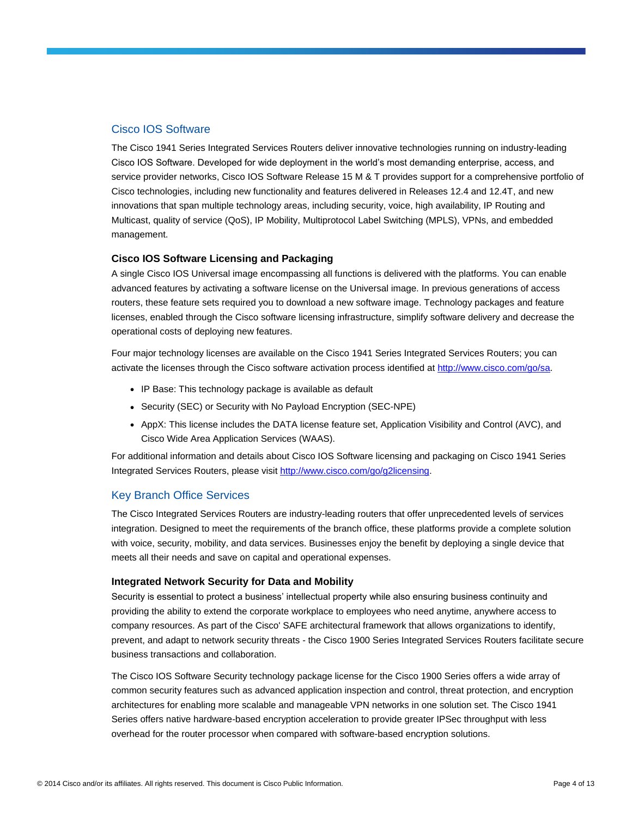## Cisco IOS Software

The Cisco 1941 Series Integrated Services Routers deliver innovative technologies running on industry-leading Cisco IOS Software. Developed for wide deployment in the world's most demanding enterprise, access, and service provider networks, Cisco IOS Software Release 15 M & T provides support for a comprehensive portfolio of Cisco technologies, including new functionality and features delivered in Releases 12.4 and 12.4T, and new innovations that span multiple technology areas, including security, voice, high availability, IP Routing and Multicast, quality of service (QoS), IP Mobility, Multiprotocol Label Switching (MPLS), VPNs, and embedded management.

## **Cisco IOS Software Licensing and Packaging**

A single Cisco IOS Universal image encompassing all functions is delivered with the platforms. You can enable advanced features by activating a software license on the Universal image. In previous generations of access routers, these feature sets required you to download a new software image. Technology packages and feature licenses, enabled through the Cisco software licensing infrastructure, simplify software delivery and decrease the operational costs of deploying new features.

Four major technology licenses are available on the Cisco 1941 Series Integrated Services Routers; you can activate the licenses through the Cisco software activation process identified at [http://www.cisco.com/go/sa.](http://www.cisco.com/go/sa)

- IP Base: This technology package is available as default
- Security (SEC) or Security with No Payload Encryption (SEC-NPE)
- AppX: This license includes the DATA license feature set, Application Visibility and Control (AVC), and Cisco Wide Area Application Services (WAAS).

For additional information and details about Cisco IOS Software licensing and packaging on Cisco 1941 Series Integrated Services Routers, please visi[t http://www.cisco.com/go/g2licensing.](http://www.cisco.com/go/g2licensing)

## Key Branch Office Services

The Cisco Integrated Services Routers are industry-leading routers that offer unprecedented levels of services integration. Designed to meet the requirements of the branch office, these platforms provide a complete solution with voice, security, mobility, and data services. Businesses enjoy the benefit by deploying a single device that meets all their needs and save on capital and operational expenses.

## **Integrated Network Security for Data and Mobility**

Security is essential to protect a business' intellectual property while also ensuring business continuity and providing the ability to extend the corporate workplace to employees who need anytime, anywhere access to company resources. As part of the Cisco' SAFE architectural framework that allows organizations to identify, prevent, and adapt to network security threats - the Cisco 1900 Series Integrated Services Routers facilitate secure business transactions and collaboration.

The Cisco IOS Software Security technology package license for the Cisco 1900 Series offers a wide array of common security features such as advanced application inspection and control, threat protection, and encryption architectures for enabling more scalable and manageable VPN networks in one solution set. The Cisco 1941 Series offers native hardware-based encryption acceleration to provide greater IPSec throughput with less overhead for the router processor when compared with software-based encryption solutions.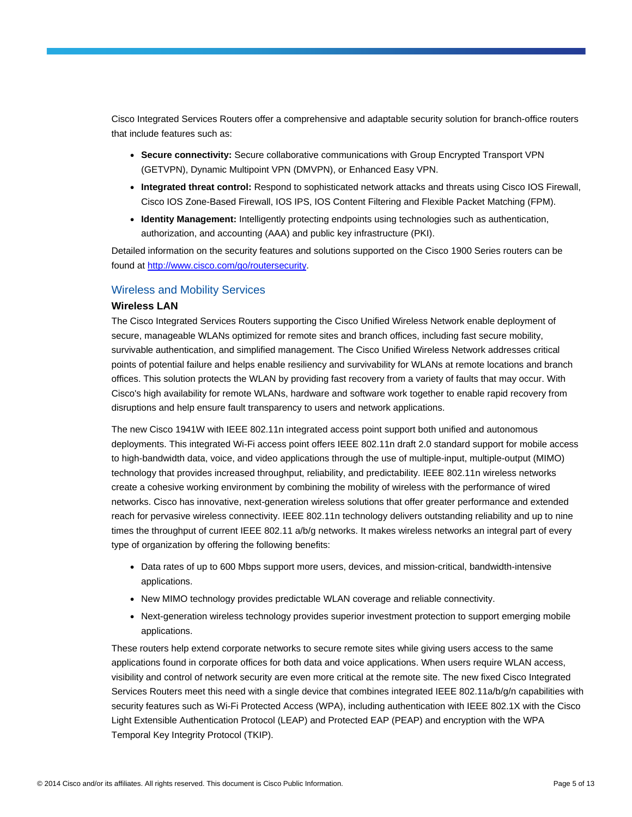Cisco Integrated Services Routers offer a comprehensive and adaptable security solution for branch-office routers that include features such as:

- **Secure connectivity:** Secure collaborative communications with Group Encrypted Transport VPN (GETVPN), Dynamic Multipoint VPN (DMVPN), or Enhanced Easy VPN.
- **Integrated threat control:** Respond to sophisticated network attacks and threats using Cisco IOS Firewall, Cisco IOS Zone-Based Firewall, IOS IPS, IOS Content Filtering and Flexible Packet Matching (FPM).
- **Identity Management:** Intelligently protecting endpoints using technologies such as authentication, authorization, and accounting (AAA) and public key infrastructure (PKI).

Detailed information on the security features and solutions supported on the Cisco 1900 Series routers can be found at [http://www.cisco.com/go/routersecurity.](http://www.cisco.com/go/routersecurity)

#### Wireless and Mobility Services

#### **Wireless LAN**

The Cisco Integrated Services Routers supporting the Cisco Unified Wireless Network enable deployment of secure, manageable WLANs optimized for remote sites and branch offices, including fast secure mobility, survivable authentication, and simplified management. The Cisco Unified Wireless Network addresses critical points of potential failure and helps enable resiliency and survivability for WLANs at remote locations and branch offices. This solution protects the WLAN by providing fast recovery from a variety of faults that may occur. With Cisco's high availability for remote WLANs, hardware and software work together to enable rapid recovery from disruptions and help ensure fault transparency to users and network applications.

The new Cisco 1941W with IEEE 802.11n integrated access point support both unified and autonomous deployments. This integrated Wi-Fi access point offers IEEE 802.11n draft 2.0 standard support for mobile access to high-bandwidth data, voice, and video applications through the use of multiple-input, multiple-output (MIMO) technology that provides increased throughput, reliability, and predictability. IEEE 802.11n wireless networks create a cohesive working environment by combining the mobility of wireless with the performance of wired networks. Cisco has innovative, next-generation wireless solutions that offer greater performance and extended reach for pervasive wireless connectivity. IEEE 802.11n technology delivers outstanding reliability and up to nine times the throughput of current IEEE 802.11 a/b/g networks. It makes wireless networks an integral part of every type of organization by offering the following benefits:

- Data rates of up to 600 Mbps support more users, devices, and mission-critical, bandwidth-intensive applications.
- New MIMO technology provides predictable WLAN coverage and reliable connectivity.
- Next-generation wireless technology provides superior investment protection to support emerging mobile applications.

These routers help extend corporate networks to secure remote sites while giving users access to the same applications found in corporate offices for both data and voice applications. When users require WLAN access, visibility and control of network security are even more critical at the remote site. The new fixed Cisco Integrated Services Routers meet this need with a single device that combines integrated IEEE 802.11a/b/g/n capabilities with security features such as Wi-Fi Protected Access (WPA), including authentication with IEEE 802.1X with the Cisco Light Extensible Authentication Protocol (LEAP) and Protected EAP (PEAP) and encryption with the WPA Temporal Key Integrity Protocol (TKIP).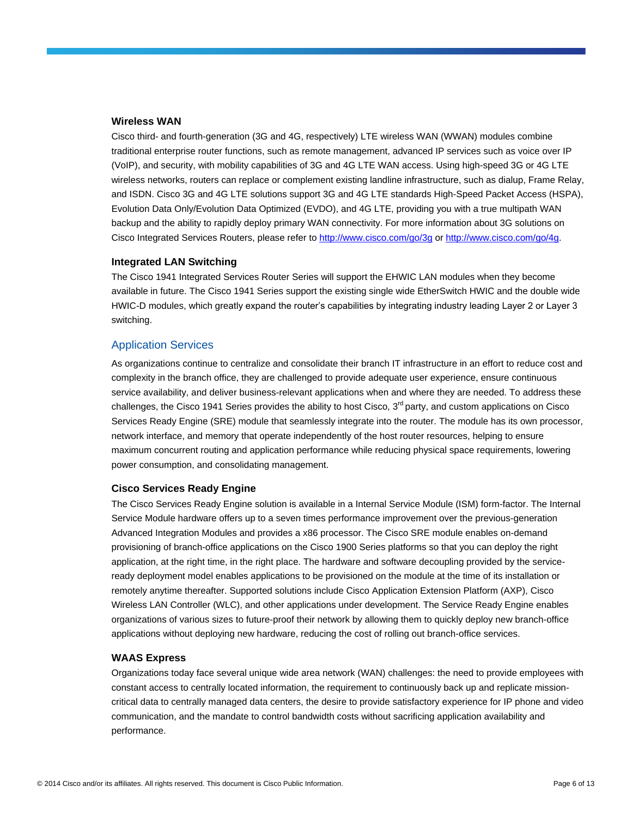#### **Wireless WAN**

Cisco third- and fourth-generation (3G and 4G, respectively) LTE wireless WAN (WWAN) modules combine traditional enterprise router functions, such as remote management, advanced IP services such as voice over IP (VoIP), and security, with mobility capabilities of 3G and 4G LTE WAN access. Using high-speed 3G or 4G LTE wireless networks, routers can replace or complement existing landline infrastructure, such as dialup, Frame Relay, and ISDN. Cisco 3G and 4G LTE solutions support 3G and 4G LTE standards High-Speed Packet Access (HSPA), Evolution Data Only/Evolution Data Optimized (EVDO), and 4G LTE, providing you with a true multipath WAN backup and the ability to rapidly deploy primary WAN connectivity. For more information about 3G solutions on Cisco Integrated Services Routers, please refer t[o http://www.cisco.com/go/3g](http://www.cisco.com/go/3g) or [http://www.cisco.com/go/4g.](http://www.cisco.com/go/4g)

#### **Integrated LAN Switching**

The Cisco 1941 Integrated Services Router Series will support the EHWIC LAN modules when they become available in future. The Cisco 1941 Series support the existing single wide EtherSwitch HWIC and the double wide HWIC-D modules, which greatly expand the router's capabilities by integrating industry leading Layer 2 or Layer 3 switching.

#### Application Services

As organizations continue to centralize and consolidate their branch IT infrastructure in an effort to reduce cost and complexity in the branch office, they are challenged to provide adequate user experience, ensure continuous service availability, and deliver business-relevant applications when and where they are needed. To address these challenges, the Cisco 1941 Series provides the ability to host Cisco,  $3<sup>rd</sup>$  party, and custom applications on Cisco Services Ready Engine (SRE) module that seamlessly integrate into the router. The module has its own processor, network interface, and memory that operate independently of the host router resources, helping to ensure maximum concurrent routing and application performance while reducing physical space requirements, lowering power consumption, and consolidating management.

#### **Cisco Services Ready Engine**

The Cisco Services Ready Engine solution is available in a Internal Service Module (ISM) form-factor. The Internal Service Module hardware offers up to a seven times performance improvement over the previous-generation Advanced Integration Modules and provides a x86 processor. The Cisco SRE module enables on-demand provisioning of branch-office applications on the Cisco 1900 Series platforms so that you can deploy the right application, at the right time, in the right place. The hardware and software decoupling provided by the serviceready deployment model enables applications to be provisioned on the module at the time of its installation or remotely anytime thereafter. Supported solutions include Cisco Application Extension Platform (AXP), Cisco Wireless LAN Controller (WLC), and other applications under development. The Service Ready Engine enables organizations of various sizes to future-proof their network by allowing them to quickly deploy new branch-office applications without deploying new hardware, reducing the cost of rolling out branch-office services.

#### **WAAS Express**

Organizations today face several unique wide area network (WAN) challenges: the need to provide employees with constant access to centrally located information, the requirement to continuously back up and replicate missioncritical data to centrally managed data centers, the desire to provide satisfactory experience for IP phone and video communication, and the mandate to control bandwidth costs without sacrificing application availability and performance.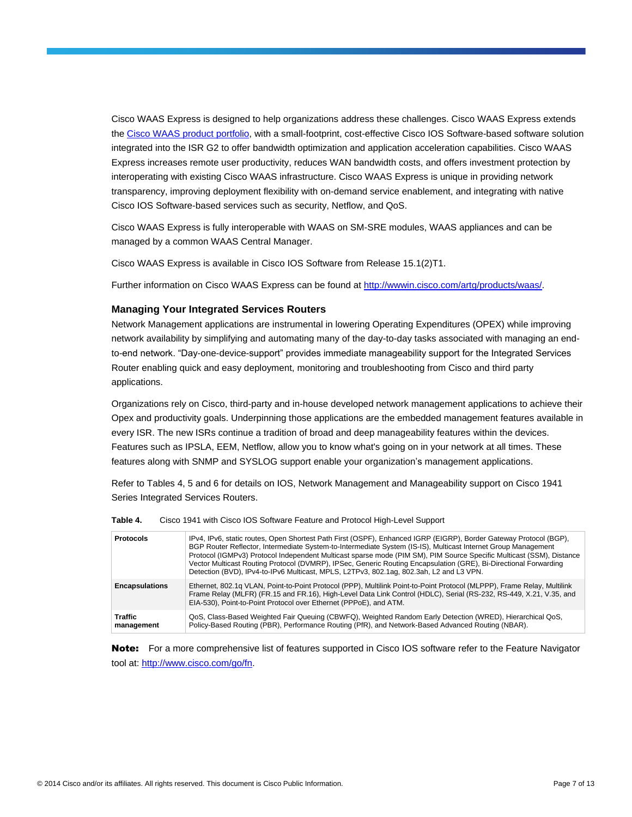Cisco WAAS Express is designed to help organizations address these challenges. Cisco WAAS Express extends the Cisco [WAAS product portfolio,](http://wwwin.cisco.com/dss/adbu/waas/) with a small-footprint, cost-effective Cisco IOS Software-based software solution integrated into the ISR G2 to offer bandwidth optimization and application acceleration capabilities. Cisco WAAS Express increases remote user productivity, reduces WAN bandwidth costs, and offers investment protection by interoperating with existing Cisco WAAS infrastructure. Cisco WAAS Express is unique in providing network transparency, improving deployment flexibility with on-demand service enablement, and integrating with native Cisco IOS Software-based services such as security, Netflow, and QoS.

Cisco WAAS Express is fully interoperable with WAAS on SM-SRE modules, WAAS appliances and can be managed by a common WAAS Central Manager.

Cisco WAAS Express is available in Cisco IOS Software from Release 15.1(2)T1.

Further information on Cisco WAAS Express can be found a[t http://wwwin.cisco.com/artg/products/waas/.](http://wwwin.cisco.com/artg/products/waas/)

#### **Managing Your Integrated Services Routers**

Network Management applications are instrumental in lowering Operating Expenditures (OPEX) while improving network availability by simplifying and automating many of the day-to-day tasks associated with managing an endto-end network. "Day-one-device-support" provides immediate manageability support for the Integrated Services Router enabling quick and easy deployment, monitoring and troubleshooting from Cisco and third party applications.

Organizations rely on Cisco, third-party and in-house developed network management applications to achieve their Opex and productivity goals. Underpinning those applications are the embedded management features available in every ISR. The new ISRs continue a tradition of broad and deep manageability features within the devices. Features such as IPSLA, EEM, Netflow, allow you to know what's going on in your network at all times. These features along with SNMP and SYSLOG support enable your organization's management applications.

Refer to Tables 4, 5 and 6 for details on IOS, Network Management and Manageability support on Cisco 1941 Series Integrated Services Routers.

| <b>Protocols</b>             | IPv4, IPv6, static routes, Open Shortest Path First (OSPF), Enhanced IGRP (EIGRP), Border Gateway Protocol (BGP),<br>BGP Router Reflector, Intermediate System-to-Intermediate System (IS-IS), Multicast Internet Group Management<br>Protocol (IGMPv3) Protocol Independent Multicast sparse mode (PIM SM), PIM Source Specific Multicast (SSM), Distance<br>Vector Multicast Routing Protocol (DVMRP), IPSec, Generic Routing Encapsulation (GRE), Bi-Directional Forwarding<br>Detection (BVD), IPv4-to-IPv6 Multicast, MPLS, L2TPv3, 802.1aq, 802.3ah, L2 and L3 VPN. |
|------------------------------|---------------------------------------------------------------------------------------------------------------------------------------------------------------------------------------------------------------------------------------------------------------------------------------------------------------------------------------------------------------------------------------------------------------------------------------------------------------------------------------------------------------------------------------------------------------------------|
| <b>Encapsulations</b>        | Ethernet, 802.1q VLAN, Point-to-Point Protocol (PPP), Multilink Point-to-Point Protocol (MLPPP), Frame Relay, Multilink<br>Frame Relay (MLFR) (FR.15 and FR.16), High-Level Data Link Control (HDLC), Serial (RS-232, RS-449, X.21, V.35, and<br>EIA-530), Point-to-Point Protocol over Ethernet (PPPoE), and ATM.                                                                                                                                                                                                                                                        |
| <b>Traffic</b><br>management | QoS, Class-Based Weighted Fair Queuing (CBWFQ), Weighted Random Early Detection (WRED), Hierarchical QoS,<br>Policy-Based Routing (PBR), Performance Routing (PfR), and Network-Based Advanced Routing (NBAR).                                                                                                                                                                                                                                                                                                                                                            |

#### **Table 4.** Cisco 1941 with Cisco IOS Software Feature and Protocol High-Level Support

Note: For a more comprehensive list of features supported in Cisco IOS software refer to the Feature Navigator tool at[: http://www.cisco.com/go/fn.](http://www.cisco.com/go/fn)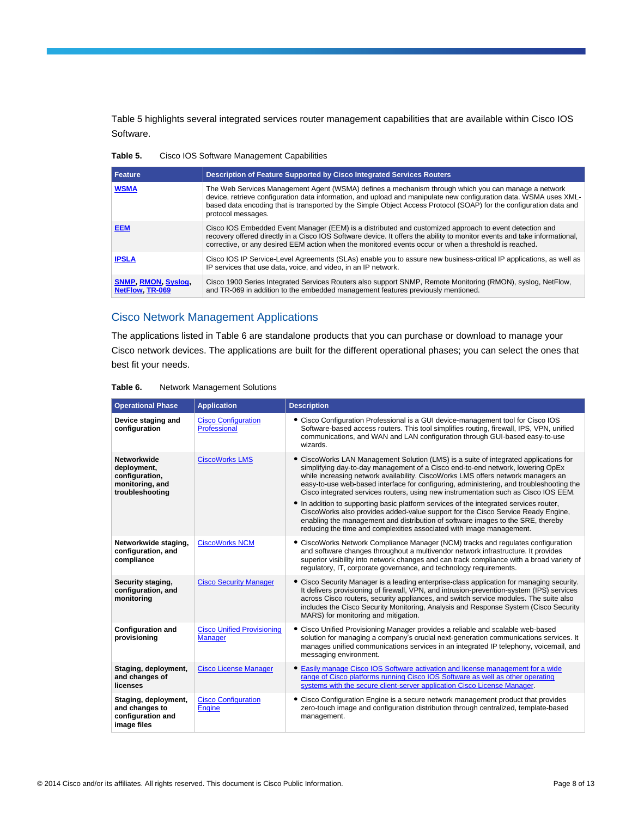Table 5 highlights several integrated services router management capabilities that are available within Cisco IOS Software.

**Table 5.** Cisco IOS Software Management Capabilities

| Feature.                                             | Description of Feature Supported by Cisco Integrated Services Routers                                                                                                                                                                                                                                                                                                |
|------------------------------------------------------|----------------------------------------------------------------------------------------------------------------------------------------------------------------------------------------------------------------------------------------------------------------------------------------------------------------------------------------------------------------------|
| <b>WSMA</b>                                          | The Web Services Management Agent (WSMA) defines a mechanism through which you can manage a network<br>device, retrieve configuration data information, and upload and manipulate new configuration data. WSMA uses XML-<br>based data encoding that is transported by the Simple Object Access Protocol (SOAP) for the configuration data and<br>protocol messages. |
| <b>EEM</b>                                           | Cisco IOS Embedded Event Manager (EEM) is a distributed and customized approach to event detection and<br>recovery offered directly in a Cisco IOS Software device. It offers the ability to monitor events and take informational,<br>corrective, or any desired EEM action when the monitored events occur or when a threshold is reached.                         |
| <b>IPSLA</b>                                         | Cisco IOS IP Service-Level Agreements (SLAs) enable you to assure new business-critical IP applications, as well as<br>IP services that use data, voice, and video, in an IP network.                                                                                                                                                                                |
| <b>SNMP, RMON, Syslog,</b><br><b>NetFlow, TR-069</b> | Cisco 1900 Series Integrated Services Routers also support SNMP, Remote Monitoring (RMON), syslog, NetFlow,<br>and TR-069 in addition to the embedded management features previously mentioned.                                                                                                                                                                      |

## Cisco Network Management Applications

The applications listed in Table 6 are standalone products that you can purchase or download to manage your Cisco network devices. The applications are built for the different operational phases; you can select the ones that best fit your needs.

| Table 6. | <b>Network Management Solutions</b> |  |
|----------|-------------------------------------|--|
|          |                                     |  |

| <b>Operational Phase</b>                                                           | <b>Application</b>                                  | <b>Description</b>                                                                                                                                                                                                                                                                                                                                                                                                                                                                                                                                                                                                                                                                                                                                                                    |
|------------------------------------------------------------------------------------|-----------------------------------------------------|---------------------------------------------------------------------------------------------------------------------------------------------------------------------------------------------------------------------------------------------------------------------------------------------------------------------------------------------------------------------------------------------------------------------------------------------------------------------------------------------------------------------------------------------------------------------------------------------------------------------------------------------------------------------------------------------------------------------------------------------------------------------------------------|
| Device staging and<br>configuration                                                | <b>Cisco Configuration</b><br>Professional          | • Cisco Configuration Professional is a GUI device-management tool for Cisco IOS<br>Software-based access routers. This tool simplifies routing, firewall, IPS, VPN, unified<br>communications, and WAN and LAN configuration through GUI-based easy-to-use<br>wizards.                                                                                                                                                                                                                                                                                                                                                                                                                                                                                                               |
| Networkwide<br>deployment,<br>configuration,<br>monitoring, and<br>troubleshooting | <b>CiscoWorks LMS</b>                               | • CiscoWorks LAN Management Solution (LMS) is a suite of integrated applications for<br>simplifying day-to-day management of a Cisco end-to-end network, lowering OpEx<br>while increasing network availability. CiscoWorks LMS offers network managers an<br>easy-to-use web-based interface for configuring, administering, and troubleshooting the<br>Cisco integrated services routers, using new instrumentation such as Cisco IOS EEM.<br>• In addition to supporting basic platform services of the integrated services router,<br>CiscoWorks also provides added-value support for the Cisco Service Ready Engine,<br>enabling the management and distribution of software images to the SRE, thereby<br>reducing the time and complexities associated with image management. |
| Networkwide staging,<br>configuration, and<br>compliance                           | <b>CiscoWorks NCM</b>                               | • CiscoWorks Network Compliance Manager (NCM) tracks and regulates configuration<br>and software changes throughout a multivendor network infrastructure. It provides<br>superior visibility into network changes and can track compliance with a broad variety of<br>regulatory, IT, corporate governance, and technology requirements.                                                                                                                                                                                                                                                                                                                                                                                                                                              |
| Security staging,<br>configuration, and<br>monitoring                              | <b>Cisco Security Manager</b>                       | • Cisco Security Manager is a leading enterprise-class application for managing security.<br>It delivers provisioning of firewall, VPN, and intrusion-prevention-system (IPS) services<br>across Cisco routers, security appliances, and switch service modules. The suite also<br>includes the Cisco Security Monitoring, Analysis and Response System (Cisco Security<br>MARS) for monitoring and mitigation.                                                                                                                                                                                                                                                                                                                                                                       |
| <b>Configuration and</b><br>provisioning                                           | <b>Cisco Unified Provisioning</b><br><b>Manager</b> | • Cisco Unified Provisioning Manager provides a reliable and scalable web-based<br>solution for managing a company's crucial next-generation communications services. It<br>manages unified communications services in an integrated IP telephony, voicemail, and<br>messaging environment.                                                                                                                                                                                                                                                                                                                                                                                                                                                                                           |
| Staging, deployment,<br>and changes of<br>licenses                                 | <b>Cisco License Manager</b>                        | • Easily manage Cisco IOS Software activation and license management for a wide<br>range of Cisco platforms running Cisco IOS Software as well as other operating<br>systems with the secure client-server application Cisco License Manager.                                                                                                                                                                                                                                                                                                                                                                                                                                                                                                                                         |
| Staging, deployment,<br>and changes to<br>configuration and<br>image files         | <b>Cisco Configuration</b><br>Engine                | • Cisco Configuration Engine is a secure network management product that provides<br>zero-touch image and configuration distribution through centralized, template-based<br>management.                                                                                                                                                                                                                                                                                                                                                                                                                                                                                                                                                                                               |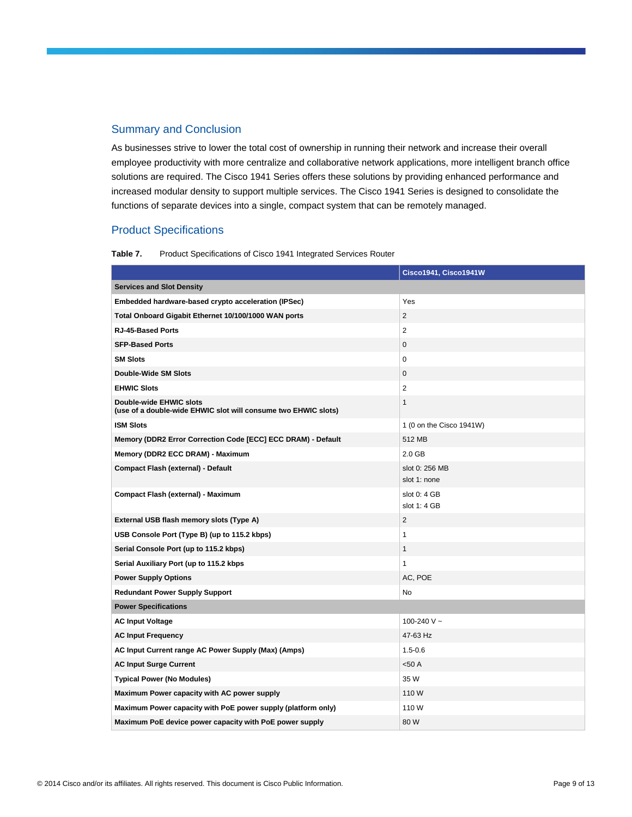## Summary and Conclusion

As businesses strive to lower the total cost of ownership in running their network and increase their overall employee productivity with more centralize and collaborative network applications, more intelligent branch office solutions are required. The Cisco 1941 Series offers these solutions by providing enhanced performance and increased modular density to support multiple services. The Cisco 1941 Series is designed to consolidate the functions of separate devices into a single, compact system that can be remotely managed.

## Product Specifications

#### Table 7. Product Specifications of Cisco 1941 Integrated Services Router

|                                                                                           | Cisco1941, Cisco1941W          |
|-------------------------------------------------------------------------------------------|--------------------------------|
| <b>Services and Slot Density</b>                                                          |                                |
| Embedded hardware-based crypto acceleration (IPSec)                                       | Yes                            |
| Total Onboard Gigabit Ethernet 10/100/1000 WAN ports                                      | 2                              |
| <b>RJ-45-Based Ports</b>                                                                  | $\overline{2}$                 |
| <b>SFP-Based Ports</b>                                                                    | $\mathbf 0$                    |
| <b>SM Slots</b>                                                                           | 0                              |
| Double-Wide SM Slots                                                                      | $\mathbf{0}$                   |
| <b>EHWIC Slots</b>                                                                        | $\overline{2}$                 |
| Double-wide EHWIC slots<br>(use of a double-wide EHWIC slot will consume two EHWIC slots) | $\mathbf{1}$                   |
| <b>ISM Slots</b>                                                                          | 1 (0 on the Cisco 1941W)       |
| Memory (DDR2 Error Correction Code [ECC] ECC DRAM) - Default                              | 512 MB                         |
| Memory (DDR2 ECC DRAM) - Maximum                                                          | 2.0 <sub>GB</sub>              |
| Compact Flash (external) - Default                                                        | slot 0: 256 MB<br>slot 1: none |
| Compact Flash (external) - Maximum                                                        | slot 0: 4 GB<br>slot 1: 4 GB   |
| External USB flash memory slots (Type A)                                                  | $\overline{2}$                 |
| USB Console Port (Type B) (up to 115.2 kbps)                                              | 1                              |
| Serial Console Port (up to 115.2 kbps)                                                    | $\mathbf{1}$                   |
| Serial Auxiliary Port (up to 115.2 kbps                                                   | $\mathbf{1}$                   |
| <b>Power Supply Options</b>                                                               | AC, POE                        |
| <b>Redundant Power Supply Support</b>                                                     | No                             |
| <b>Power Specifications</b>                                                               |                                |
| <b>AC Input Voltage</b>                                                                   | 100-240 V $\sim$               |
| <b>AC Input Frequency</b>                                                                 | 47-63 Hz                       |
| AC Input Current range AC Power Supply (Max) (Amps)                                       | $1.5 - 0.6$                    |
| <b>AC Input Surge Current</b>                                                             | < 50 A                         |
| <b>Typical Power (No Modules)</b>                                                         | 35 W                           |
| Maximum Power capacity with AC power supply                                               | 110W                           |
| Maximum Power capacity with PoE power supply (platform only)                              | 110W                           |
| Maximum PoE device power capacity with PoE power supply                                   | 80 W                           |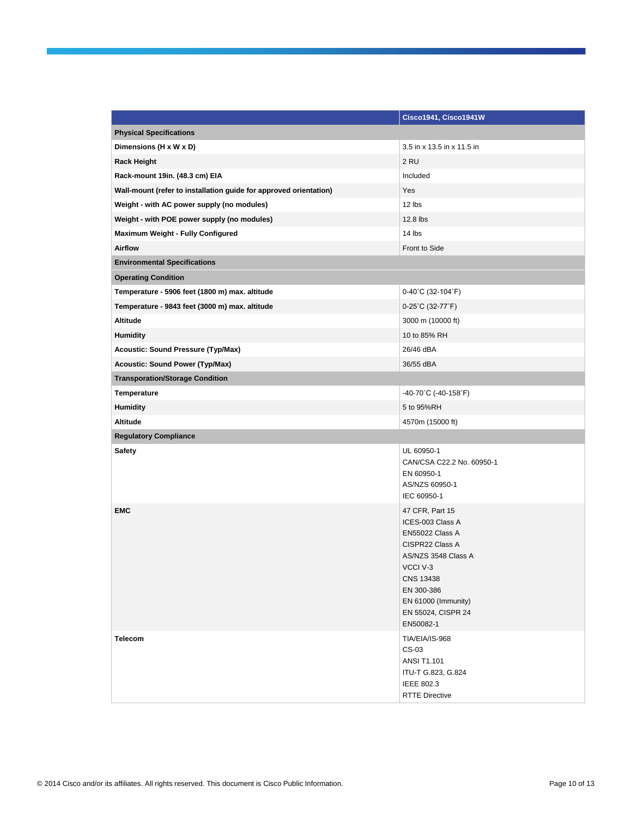|                                                                   | Cisco1941, Cisco1941W                                                                                                                                                                             |
|-------------------------------------------------------------------|---------------------------------------------------------------------------------------------------------------------------------------------------------------------------------------------------|
| <b>Physical Specifications</b>                                    |                                                                                                                                                                                                   |
| Dimensions (H x W x D)                                            | 3.5 in x 13.5 in x 11.5 in                                                                                                                                                                        |
| <b>Rack Height</b>                                                | 2 RU                                                                                                                                                                                              |
| Rack-mount 19in. (48.3 cm) EIA                                    | Included                                                                                                                                                                                          |
| Wall-mount (refer to installation guide for approved orientation) | Yes                                                                                                                                                                                               |
| Weight - with AC power supply (no modules)                        | 12 lbs                                                                                                                                                                                            |
| Weight - with POE power supply (no modules)                       | 12.8 lbs                                                                                                                                                                                          |
| Maximum Weight - Fully Configured                                 | 14 lbs                                                                                                                                                                                            |
| <b>Airflow</b>                                                    | Front to Side                                                                                                                                                                                     |
| <b>Environmental Specifications</b>                               |                                                                                                                                                                                                   |
| <b>Operating Condition</b>                                        |                                                                                                                                                                                                   |
| Temperature - 5906 feet (1800 m) max. altitude                    | 0-40°C (32-104°F)                                                                                                                                                                                 |
| Temperature - 9843 feet (3000 m) max. altitude                    | $0-25^{\circ}$ C (32-77 $^{\circ}$ F)                                                                                                                                                             |
| Altitude                                                          | 3000 m (10000 ft)                                                                                                                                                                                 |
| <b>Humidity</b>                                                   | 10 to 85% RH                                                                                                                                                                                      |
| <b>Acoustic: Sound Pressure (Typ/Max)</b>                         | 26/46 dBA                                                                                                                                                                                         |
| <b>Acoustic: Sound Power (Typ/Max)</b>                            | 36/55 dBA                                                                                                                                                                                         |
| <b>Transporation/Storage Condition</b>                            |                                                                                                                                                                                                   |
| Temperature                                                       | -40-70°C (-40-158°F)                                                                                                                                                                              |
| <b>Humidity</b>                                                   | 5 to 95%RH                                                                                                                                                                                        |
| Altitude                                                          | 4570m (15000 ft)                                                                                                                                                                                  |
| <b>Regulatory Compliance</b>                                      |                                                                                                                                                                                                   |
| Safety                                                            | UL 60950-1<br>CAN/CSA C22.2 No. 60950-1<br>EN 60950-1<br>AS/NZS 60950-1<br>IEC 60950-1                                                                                                            |
| <b>EMC</b>                                                        | 47 CFR, Part 15<br>ICES-003 Class A<br>EN55022 Class A<br>CISPR22 Class A<br>AS/NZS 3548 Class A<br>VCCI V-3<br>CNS 13438<br>EN 300-386<br>EN 61000 (Immunity)<br>EN 55024, CISPR 24<br>EN50082-1 |
| Telecom                                                           | TIA/EIA/IS-968<br>CS-03<br><b>ANSI T1.101</b><br>ITU-T G.823, G.824<br><b>IEEE 802.3</b><br><b>RTTE Directive</b>                                                                                 |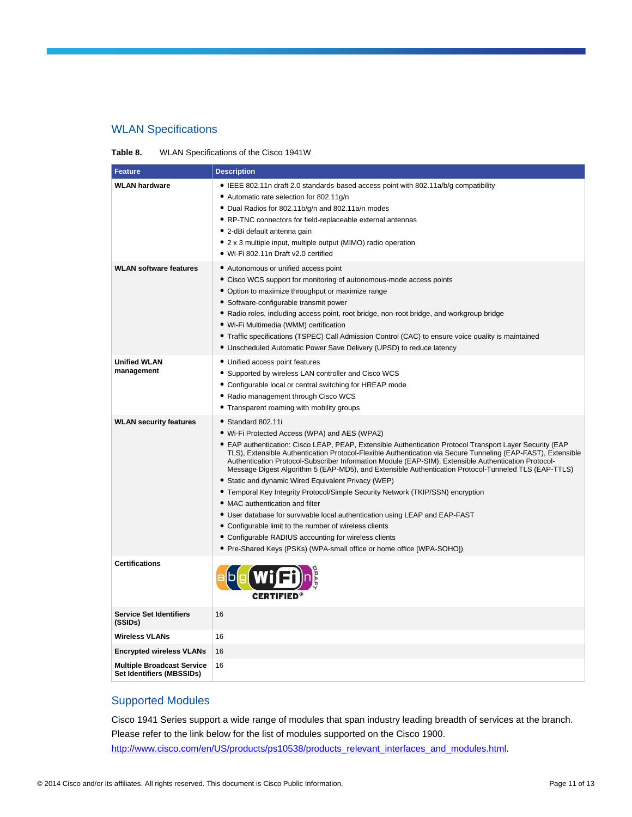## WLAN Specifications

| Table 8. | WLAN Specifications of the Cisco 1941W |  |
|----------|----------------------------------------|--|
|          |                                        |  |

| <b>Feature</b>                                                 | <b>Description</b>                                                                                                                                                                                                                                                                                                                                                                                                                                                                                                                                                                                                                                                                                                                                                                                                                                                                                                                                                      |
|----------------------------------------------------------------|-------------------------------------------------------------------------------------------------------------------------------------------------------------------------------------------------------------------------------------------------------------------------------------------------------------------------------------------------------------------------------------------------------------------------------------------------------------------------------------------------------------------------------------------------------------------------------------------------------------------------------------------------------------------------------------------------------------------------------------------------------------------------------------------------------------------------------------------------------------------------------------------------------------------------------------------------------------------------|
| <b>WLAN hardware</b>                                           | • IEEE 802.11n draft 2.0 standards-based access point with 802.11a/b/g compatibility<br>• Automatic rate selection for 802.11g/n<br>• Dual Radios for 802.11b/g/n and 802.11a/n modes<br>• RP-TNC connectors for field-replaceable external antennas<br>• 2-dBi default antenna gain<br>• 2 x 3 multiple input, multiple output (MIMO) radio operation<br>· Wi-Fi 802.11n Draft v2.0 certified                                                                                                                                                                                                                                                                                                                                                                                                                                                                                                                                                                          |
| <b>WLAN software features</b>                                  | • Autonomous or unified access point<br>• Cisco WCS support for monitoring of autonomous-mode access points<br>• Option to maximize throughput or maximize range<br>• Software-configurable transmit power<br>• Radio roles, including access point, root bridge, non-root bridge, and workgroup bridge<br>• Wi-Fi Multimedia (WMM) certification<br>• Traffic specifications (TSPEC) Call Admission Control (CAC) to ensure voice quality is maintained<br>• Unscheduled Automatic Power Save Delivery (UPSD) to reduce latency                                                                                                                                                                                                                                                                                                                                                                                                                                        |
| <b>Unified WLAN</b><br>management                              | • Unified access point features<br>• Supported by wireless LAN controller and Cisco WCS<br>• Configurable local or central switching for HREAP mode<br>• Radio management through Cisco WCS<br>• Transparent roaming with mobility groups                                                                                                                                                                                                                                                                                                                                                                                                                                                                                                                                                                                                                                                                                                                               |
| <b>WLAN security features</b>                                  | • Standard 802.11i<br>• Wi-Fi Protected Access (WPA) and AES (WPA2)<br>• EAP authentication: Cisco LEAP, PEAP, Extensible Authentication Protocol Transport Layer Security (EAP<br>TLS), Extensible Authentication Protocol-Flexible Authentication via Secure Tunneling (EAP-FAST), Extensible<br>Authentication Protocol-Subscriber Information Module (EAP-SIM), Extensible Authentication Protocol-<br>Message Digest Algorithm 5 (EAP-MD5), and Extensible Authentication Protocol-Tunneled TLS (EAP-TTLS)<br>• Static and dynamic Wired Equivalent Privacy (WEP)<br>• Temporal Key Integrity Protocol/Simple Security Network (TKIP/SSN) encryption<br>• MAC authentication and filter<br>• User database for survivable local authentication using LEAP and EAP-FAST<br>• Configurable limit to the number of wireless clients<br>• Configurable RADIUS accounting for wireless clients<br>• Pre-Shared Keys (PSKs) (WPA-small office or home office [WPA-SOHO]) |
| <b>Certifications</b>                                          | ERTIFIED®:                                                                                                                                                                                                                                                                                                                                                                                                                                                                                                                                                                                                                                                                                                                                                                                                                                                                                                                                                              |
| <b>Service Set Identifiers</b><br>(SSIDs)                      | 16                                                                                                                                                                                                                                                                                                                                                                                                                                                                                                                                                                                                                                                                                                                                                                                                                                                                                                                                                                      |
| <b>Wireless VLANs</b>                                          | 16                                                                                                                                                                                                                                                                                                                                                                                                                                                                                                                                                                                                                                                                                                                                                                                                                                                                                                                                                                      |
| <b>Encrypted wireless VLANs</b>                                | 16                                                                                                                                                                                                                                                                                                                                                                                                                                                                                                                                                                                                                                                                                                                                                                                                                                                                                                                                                                      |
| <b>Multiple Broadcast Service</b><br>Set Identifiers (MBSSIDs) | 16                                                                                                                                                                                                                                                                                                                                                                                                                                                                                                                                                                                                                                                                                                                                                                                                                                                                                                                                                                      |

## Supported Modules

Cisco 1941 Series support a wide range of modules that span industry leading breadth of services at the branch. Please refer to the link below for the list of modules supported on the Cisco 1900. [http://www.cisco.com/en/US/products/ps10538/products\\_relevant\\_interfaces\\_and\\_modules.html.](http://www.cisco.com/en/US/products/ps10538/products_relevant_interfaces_and_modules.html)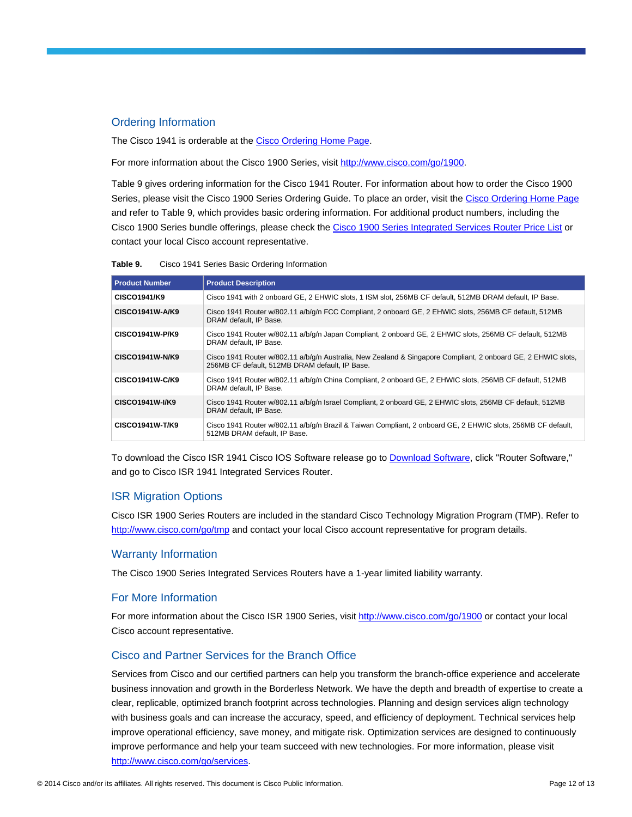## Ordering Information

The Cisco 1941 is orderable at the [Cisco Ordering Home Page.](http://www.cisco.com/en/US/ordering/or13/or8/order_customer_help_how_to_order_listing.html)

For more information about the Cisco 1900 Series, visit [http://www.cisco.com/go/1900.](http://www.cisco.com/go/1900)

Table 9 gives ordering information for the Cisco 1941 Router. For information about how to order the Cisco 1900 Series, please visit the Cisco 1900 Series Ordering Guide. To place an order, visit the [Cisco Ordering Home Page](http://www.cisco.com/web/ordering/or13/or8/o25/ordering_solutions_category_home.html) and refer to Table 9, which provides basic ordering information. For additional product numbers, including the Cisco 1900 Series bundle offerings, please check th[e Cisco 1900 Series Integrated Services Router Price List](https://tools.cisco.com/qtc/pricing/MainServlet) or contact your local Cisco account representative.

**Table 9.** Cisco 1941 Series Basic Ordering Information

| <b>Product Number</b>  | <b>Product Description</b>                                                                                                                                      |
|------------------------|-----------------------------------------------------------------------------------------------------------------------------------------------------------------|
| CISCO1941/K9           | Cisco 1941 with 2 onboard GE, 2 EHWIC slots, 1 ISM slot, 256MB CF default, 512MB DRAM default, IP Base.                                                         |
| CISCO1941W-A/K9        | Cisco 1941 Router w/802.11 a/b/g/n FCC Compliant, 2 onboard GE, 2 EHWIC slots, 256MB CF default, 512MB<br>DRAM default, IP Base.                                |
| CISCO1941W-P/K9        | Cisco 1941 Router w/802.11 a/b/q/n Japan Compliant, 2 onboard GE, 2 EHWIC slots, 256MB CF default, 512MB<br>DRAM default, IP Base.                              |
| CISCO1941W-N/K9        | Cisco 1941 Router w/802.11 a/b/g/n Australia, New Zealand & Singapore Compliant, 2 onboard GE, 2 EHWIC slots,<br>256MB CF default. 512MB DRAM default. IP Base. |
| CISCO1941W-C/K9        | Cisco 1941 Router w/802.11 a/b/q/n China Compliant, 2 onboard GE, 2 EHWIC slots, 256MB CF default, 512MB<br>DRAM default. IP Base.                              |
| CISCO1941W-I/K9        | Cisco 1941 Router w/802.11 a/b/q/n Israel Compliant, 2 onboard GE, 2 EHWIC slots, 256MB CF default, 512MB<br>DRAM default, IP Base.                             |
| <b>CISCO1941W-T/K9</b> | Cisco 1941 Router w/802.11 a/b/q/n Brazil & Taiwan Compliant, 2 onboard GE, 2 EHWIC slots, 256MB CF default,<br>512MB DRAM default. IP Base.                    |

To download the Cisco ISR 1941 Cisco IOS Software release go t[o Download Software,](http://www.cisco.com/public/sw-center/index.shtml) click "Router Software," and go to Cisco ISR 1941 Integrated Services Router.

## ISR Migration Options

Cisco ISR 1900 Series Routers are included in the standard Cisco Technology Migration Program (TMP). Refer to <http://www.cisco.com/go/tmp> and contact your local Cisco account representative for program details.

## Warranty Information

The Cisco 1900 Series Integrated Services Routers have a 1-year limited liability warranty.

## For More Information

For more information about the Cisco ISR 1900 Series, visi[t http://www.cisco.com/go/1900](http://www.cisco.com/go/1900) or contact your local Cisco account representative.

## Cisco and Partner Services for the Branch Office

Services from Cisco and our certified partners can help you transform the branch-office experience and accelerate business innovation and growth in the Borderless Network. We have the depth and breadth of expertise to create a clear, replicable, optimized branch footprint across technologies. Planning and design services align technology with business goals and can increase the accuracy, speed, and efficiency of deployment. Technical services help improve operational efficiency, save money, and mitigate risk. Optimization services are designed to continuously improve performance and help your team succeed with new technologies. For more information, please visit [http://www.cisco.com/go/services.](http://www.cisco.com/go/services)